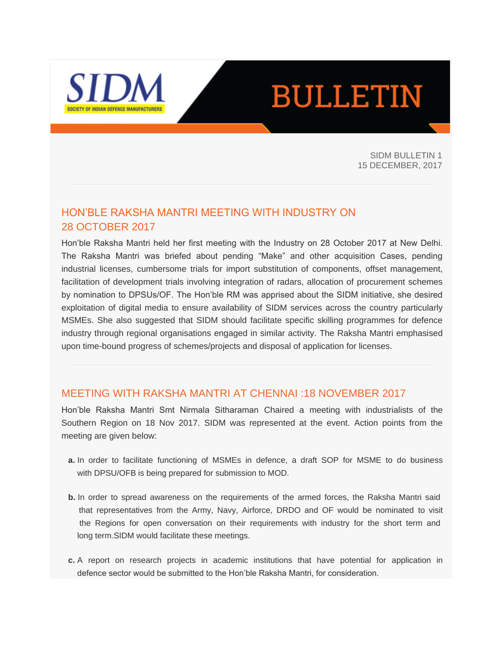

# **BULLETIN**

SIDM BULLETIN 1 15 DECEMBER, 2017

# HON'BLE RAKSHA MANTRI MEETING WITH INDUSTRY ON 28 OCTOBER 2017

Hon'ble Raksha Mantri held her first meeting with the Industry on 28 October 2017 at New Delhi. The Raksha Mantri was briefed about pending "Make" and other acquisition Cases, pending industrial licenses, cumbersome trials for import substitution of components, offset management, facilitation of development trials involving integration of radars, allocation of procurement schemes by nomination to DPSUs/OF. The Hon'ble RM was apprised about the SIDM initiative, she desired exploitation of digital media to ensure availability of SIDM services across the country particularly MSMEs. She also suggested that SIDM should facilitate specific skilling programmes for defence industry through regional organisations engaged in similar activity. The Raksha Mantri emphasised upon time-bound progress of schemes/projects and disposal of application for licenses.

## MEETING WITH RAKSHA MANTRI AT CHENNAI :18 NOVEMBER 2017

Hon'ble Raksha Mantri Smt Nirmala Sitharaman Chaired a meeting with industrialists of the Southern Region on 18 Nov 2017. SIDM was represented at the event. Action points from the meeting are given below:

- **a.** In order to facilitate functioning of MSMEs in defence, a draft SOP for MSME to do business with DPSU/OFB is being prepared for submission to MOD.
- **b.** In order to spread awareness on the requirements of the armed forces, the Raksha Mantri said that representatives from the Army, Navy, Airforce, DRDO and OF would be nominated to visit the Regions for open conversation on their requirements with industry for the short term and long term.SIDM would facilitate these meetings.
- **c.** A report on research projects in academic institutions that have potential for application in defence sector would be submitted to the Hon'ble Raksha Mantri, for consideration.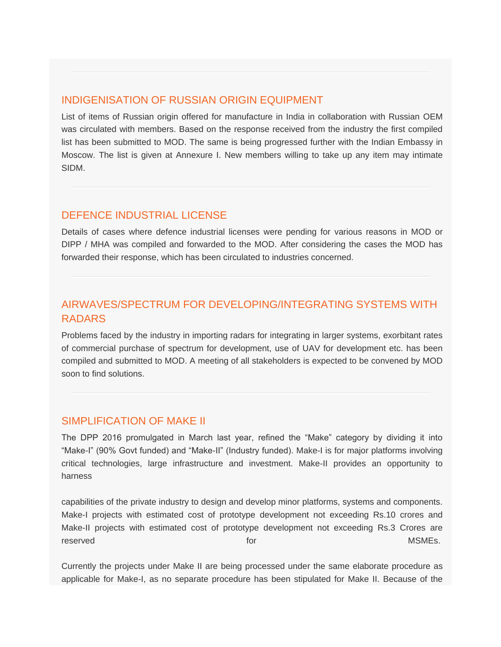## INDIGENISATION OF RUSSIAN ORIGIN EQUIPMENT

List of items of Russian origin offered for manufacture in India in collaboration with Russian OEM was circulated with members. Based on the response received from the industry the first compiled list has been submitted to MOD. The same is being progressed further with the Indian Embassy in Moscow. The list is given at Annexure I. New members willing to take up any item may intimate SIDM.

# DEFENCE INDUSTRIAL LICENSE

Details of cases where defence industrial licenses were pending for various reasons in MOD or DIPP / MHA was compiled and forwarded to the MOD. After considering the cases the MOD has forwarded their response, which has been circulated to industries concerned.

# AIRWAVES/SPECTRUM FOR DEVELOPING/INTEGRATING SYSTEMS WITH RADARS

Problems faced by the industry in importing radars for integrating in larger systems, exorbitant rates of commercial purchase of spectrum for development, use of UAV for development etc. has been compiled and submitted to MOD. A meeting of all stakeholders is expected to be convened by MOD soon to find solutions.

## SIMPLIFICATION OF MAKE II

The DPP 2016 promulgated in March last year, refined the "Make" category by dividing it into "Make-I" (90% Govt funded) and "Make-II" (Industry funded). Make-I is for major platforms involving critical technologies, large infrastructure and investment. Make-II provides an opportunity to harness

capabilities of the private industry to design and develop minor platforms, systems and components. Make-I projects with estimated cost of prototype development not exceeding Rs.10 crores and Make-II projects with estimated cost of prototype development not exceeding Rs.3 Crores are reserved the control of the control of the control of the control of the control of the control of the control of the control of the control of the control of the control of the control of the control of the control of the

Currently the projects under Make II are being processed under the same elaborate procedure as applicable for Make-I, as no separate procedure has been stipulated for Make II. Because of the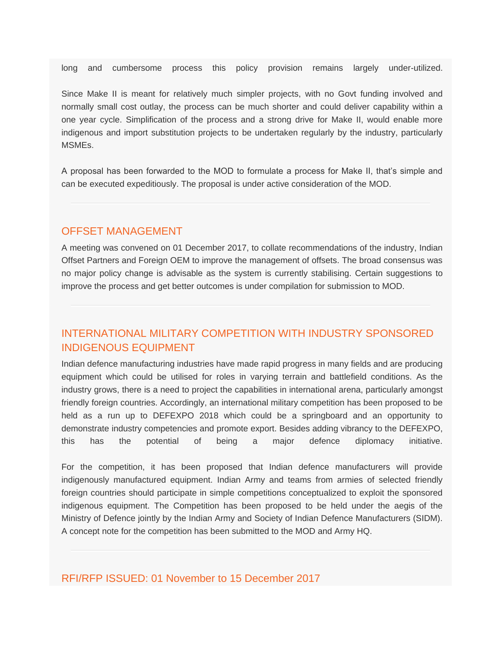long and cumbersome process this policy provision remains largely under-utilized.

Since Make II is meant for relatively much simpler projects, with no Govt funding involved and normally small cost outlay, the process can be much shorter and could deliver capability within a one year cycle. Simplification of the process and a strong drive for Make II, would enable more indigenous and import substitution projects to be undertaken regularly by the industry, particularly MSMEs.

A proposal has been forwarded to the MOD to formulate a process for Make II, that's simple and can be executed expeditiously. The proposal is under active consideration of the MOD.

#### OFFSET MANAGEMENT

A meeting was convened on 01 December 2017, to collate recommendations of the industry, Indian Offset Partners and Foreign OEM to improve the management of offsets. The broad consensus was no major policy change is advisable as the system is currently stabilising. Certain suggestions to improve the process and get better outcomes is under compilation for submission to MOD.

# INTERNATIONAL MILITARY COMPETITION WITH INDUSTRY SPONSORED INDIGENOUS EQUIPMENT

Indian defence manufacturing industries have made rapid progress in many fields and are producing equipment which could be utilised for roles in varying terrain and battlefield conditions. As the industry grows, there is a need to project the capabilities in international arena, particularly amongst friendly foreign countries. Accordingly, an international military competition has been proposed to be held as a run up to DEFEXPO 2018 which could be a springboard and an opportunity to demonstrate industry competencies and promote export. Besides adding vibrancy to the DEFEXPO, this has the potential of being a major defence diplomacy initiative.

For the competition, it has been proposed that Indian defence manufacturers will provide indigenously manufactured equipment. Indian Army and teams from armies of selected friendly foreign countries should participate in simple competitions conceptualized to exploit the sponsored indigenous equipment. The Competition has been proposed to be held under the aegis of the Ministry of Defence jointly by the Indian Army and Society of Indian Defence Manufacturers (SIDM). A concept note for the competition has been submitted to the MOD and Army HQ.

### RFI/RFP ISSUED: 01 November to 15 December 2017